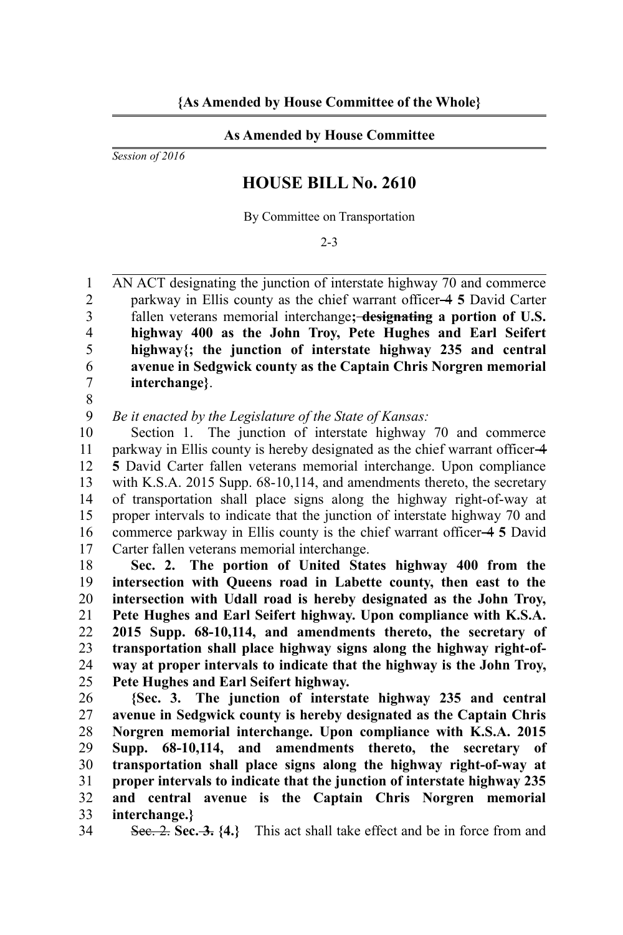## **As Amended by House Committee**

*Session of 2016*

## **HOUSE BILL No. 2610**

By Committee on Transportation

2-3

AN ACT designating the junction of interstate highway 70 and commerce parkway in Ellis county as the chief warrant officer 4 **5** David Carter fallen veterans memorial interchange**; designating a portion of U.S. highway 400 as the John Troy, Pete Hughes and Earl Seifert highway{; the junction of interstate highway 235 and central avenue in Sedgwick county as the Captain Chris Norgren memorial interchange}**. 1  $\overline{2}$ 3 4 5 6 7

8

*Be it enacted by the Legislature of the State of Kansas:* 9

Section 1. The junction of interstate highway 70 and commerce parkway in Ellis county is hereby designated as the chief warrant officer 4 **5** David Carter fallen veterans memorial interchange. Upon compliance with K.S.A. 2015 Supp. 68-10,114, and amendments thereto, the secretary of transportation shall place signs along the highway right-of-way at proper intervals to indicate that the junction of interstate highway 70 and commerce parkway in Ellis county is the chief warrant officer 4 **5** David Carter fallen veterans memorial interchange. 10 11 12 13 14 15 16 17

**Sec. 2. The portion of United States highway 400 from the intersection with Queens road in Labette county, then east to the intersection with Udall road is hereby designated as the John Troy, Pete Hughes and Earl Seifert highway. Upon compliance with K.S.A. 2015 Supp. 68-10,114, and amendments thereto, the secretary of transportation shall place highway signs along the highway right-ofway at proper intervals to indicate that the highway is the John Troy, Pete Hughes and Earl Seifert highway.** 18 19 20 21 22 23 24 25

**{Sec. 3. The junction of interstate highway 235 and central avenue in Sedgwick county is hereby designated as the Captain Chris Norgren memorial interchange. Upon compliance with K.S.A. 2015 Supp. 68-10,114, and amendments thereto, the secretary of transportation shall place signs along the highway right-of-way at proper intervals to indicate that the junction of interstate highway 235 and central avenue is the Captain Chris Norgren memorial interchange.}** 26 27 28 29 30 31 32 33

Sec. 2. **Sec. 3. {4.}** This act shall take effect and be in force from and 34